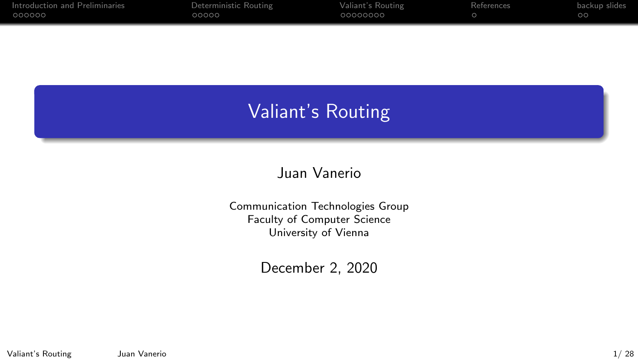| Introduction and Preliminaries | Deterministic Routing | Valiant's Routing | References | backup slides |
|--------------------------------|-----------------------|-------------------|------------|---------------|
| 000000                         | 00000                 | 00000000          |            | ററ            |
|                                |                       |                   |            |               |

# Valiant's Routing

### Juan Vanerio

Communication Technologies Group Faculty of Computer Science University of Vienna

December 2, 2020

Valiant's Routing Juan Vanerio 1/ 28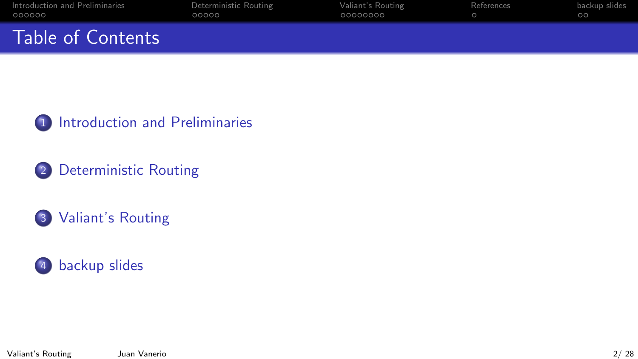| Introduction and Preliminaries | Deterministic Routing | Valiant's Routing | References | backup slides |
|--------------------------------|-----------------------|-------------------|------------|---------------|
| 000000                         | റററററ                 | 00000000          |            | ററ            |
| Table of Contents              |                       |                   |            |               |

1 [Introduction and Preliminaries](#page-2-0)

2 [Deterministic Routing](#page-8-0)

3 [Valiant's Routing](#page-13-0)

# 4 [backup slides](#page-28-0)

Valiant's Routing Juan Vanerio 2/ 28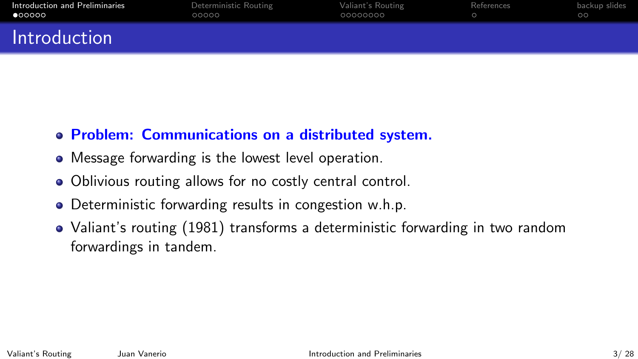<span id="page-2-0"></span>

| Introduction and Preliminaries | Deterministic Routing | Valiant's Routing | References | backup slides |
|--------------------------------|-----------------------|-------------------|------------|---------------|
| 000000                         | 00000                 | 00000000          |            | ററ            |
| Introduction                   |                       |                   |            |               |

# Problem: Communications on a distributed system.

- Message forwarding is the lowest level operation.
- Oblivious routing allows for no costly central control.
- Deterministic forwarding results in congestion w.h.p.
- Valiant's routing (1981) transforms a deterministic forwarding in two random forwardings in tandem.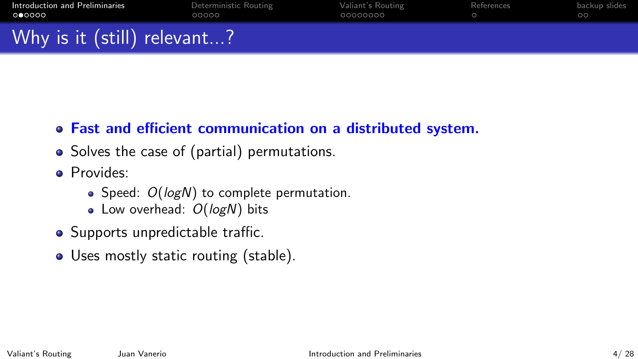| Introduction and Preliminaries | Deterministic Routing | Valiant's Routing | References | backup slides |
|--------------------------------|-----------------------|-------------------|------------|---------------|
| 000000                         | 00000                 | 00000000          |            | ററ            |
| Why is it (still) relevant?    |                       |                   |            |               |

- Fast and efficient communication on a distributed system.
- Solves the case of (partial) permutations.
- **•** Provides:
	- $\bullet$  Speed:  $O(logN)$  to complete permutation.
	- $\bullet$  Low overhead:  $O(logN)$  bits
- Supports unpredictable traffic.
- Uses mostly static routing (stable).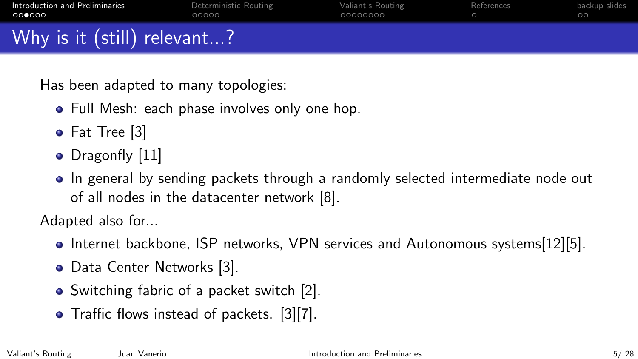| Introduction and Preliminaries<br>000000 | Deterministic Routing<br>00000 | Valiant's Routing<br>00000000 | References | backup slides |
|------------------------------------------|--------------------------------|-------------------------------|------------|---------------|
| Why is it (still) relevant?              |                                |                               |            |               |

Has been adapted to many topologies:

- Full Mesh: each phase involves only one hop.
- Fat Tree [\[3\]](#page-23-1)
- Dragonfly [\[11\]](#page-25-0)
- In general by sending packets through a randomly selected intermediate node out of all nodes in the datacenter network [\[8\]](#page-24-0).

Adapted also for...

- Internet backbone, ISP networks, VPN services and Autonomous systems[\[12\]](#page-26-0)[\[5\]](#page-24-1).
- Data Center Networks [\[3\]](#page-23-1).
- Switching fabric of a packet switch [\[2\]](#page-23-2).
- Traffic flows instead of packets. [\[3\]](#page-23-1)[\[7\]](#page-24-2).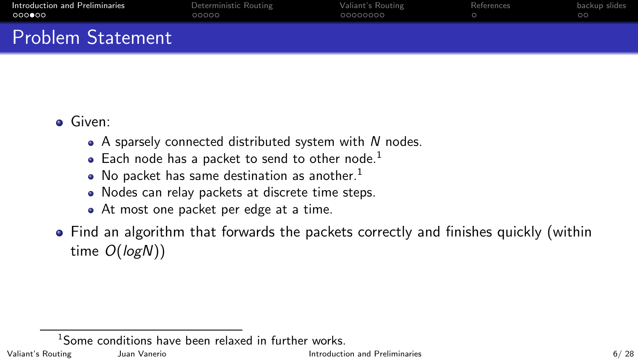| Introduction and Preliminaries | Deterministic Routing | Valiant's Routing | References | backup slides |
|--------------------------------|-----------------------|-------------------|------------|---------------|
| റററ⊜ററ                         | 00000                 | 00000000          |            | ററ            |
| <b>Problem Statement</b>       |                       |                   |            |               |

#### Given:

- $\bullet$  A sparsely connected distributed system with N nodes.
- $\bullet$  Each node has a packet to send to other node.<sup>1</sup>
- $\bullet$  No packet has same destination as another.<sup>1</sup>
- Nodes can relay packets at discrete time steps.
- At most one packet per edge at a time.
- Find an algorithm that forwards the packets correctly and finishes quickly (within time  $O(logN)$ )

<sup>1</sup>Some conditions have been relaxed in further works.

Valiant's Routing States and Vanerio Communication and Preliminaries and Preliminaries and Preliminaries 6/ 28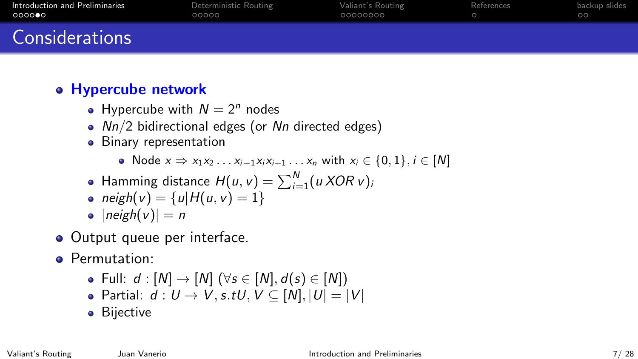| Introduction and Preliminaries | Deterministic Routing | Valiant's Routing | References | backup slides |
|--------------------------------|-----------------------|-------------------|------------|---------------|
| ○○○○●○                         | 00000                 | 00000000          |            | ററ            |
| <b>Considerations</b>          |                       |                   |            |               |

# Hypercube network

- Hypercube with  $N = 2^n$  nodes
- $Nn/2$  bidirectional edges (or  $Nn$  directed edges)
- Binary representation
	- Node  $x \Rightarrow x_1x_2 \dots x_{i-1}x_ix_{i+1} \dots x_n$  with  $x_i \in \{0, 1\}, i \in [N]$
- Hamming distance  $H(u, v) = \sum_{i=1}^{N} (u \, XOR \, v)$
- neigh(v) = {u|H(u, v) = 1}
- $\bullet$  |neigh(v)| = n
- Output queue per interface.
- **•** Permutation:
	- Full:  $d : [N] \rightarrow [N]$  ( $\forall s \in [N], d(s) \in [N]$ )
	- Partial:  $d: U \rightarrow V$ , s.tU,  $V \subseteq [N]$ ,  $|U| = |V|$
	- **•** Bijective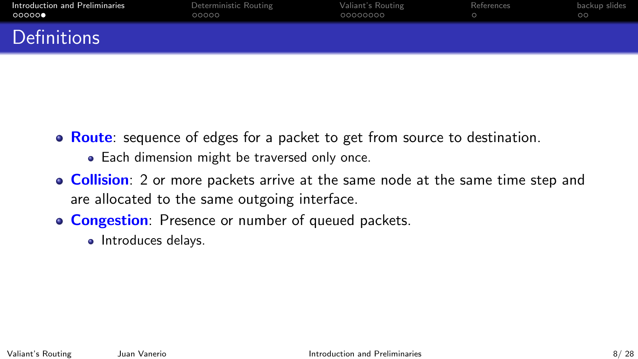| Introduction and Preliminaries | Deterministic Routing | Valiant's Routing | References | backup slides |
|--------------------------------|-----------------------|-------------------|------------|---------------|
| 00000                          | 00000                 | 00000000          |            | $\circ$ c     |
| <b>Definitions</b>             |                       |                   |            |               |

- Route: sequence of edges for a packet to get from source to destination.
	- Each dimension might be traversed only once.
- **Collision**: 2 or more packets arrive at the same node at the same time step and are allocated to the same outgoing interface.
- **Congestion**: Presence or number of queued packets.
	- Introduces delays.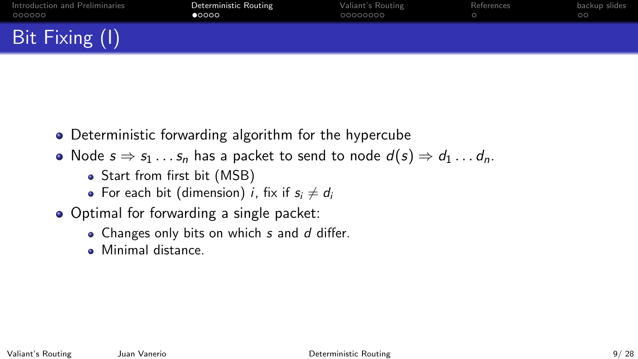<span id="page-8-0"></span>

| Introduction and Preliminaries | Deterministic Routing | Valiant's Routing | References | backup slides |
|--------------------------------|-----------------------|-------------------|------------|---------------|
| 000000                         | $\bullet$ 000         | 00000000          |            | ററ            |
| Bit Fixing (I)                 |                       |                   |            |               |

- Deterministic forwarding algorithm for the hypercube
- Node  $s \Rightarrow s_1 \dots s_n$  has a packet to send to node  $d(s) \Rightarrow d_1 \dots d_n$ .
	- Start from first bit (MSB)
	- For each bit (dimension) *i*, fix if  $s_i \neq d_i$
- Optimal for forwarding a single packet:
	- $\bullet$  Changes only bits on which s and d differ.
	- Minimal distance.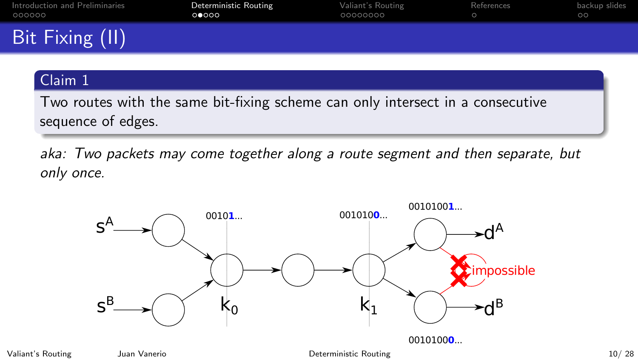| Introduction and Preliminaries<br>000000 | Deterministic Routing<br>00000 | Valiant's Routing<br>00000000 | References | backup slides |
|------------------------------------------|--------------------------------|-------------------------------|------------|---------------|
| Bit Fixing (II)                          |                                |                               |            |               |

#### Claim 1

Two routes with the same bit-fixing scheme can only intersect in a consecutive sequence of edges.

aka: Two packets may come together along a route segment and then separate, but only once.



Valiant's Routing Juan Vanerio [Deterministic Routing](#page-8-0) 10/ 28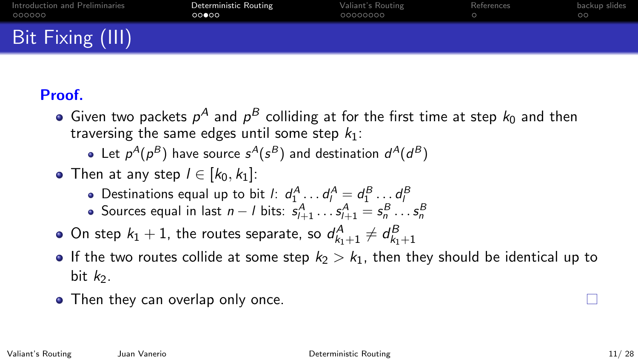| Introduction and Preliminaries | Deterministic Routing | Valiant's Routing | References | backup slides |
|--------------------------------|-----------------------|-------------------|------------|---------------|
| 000000                         | 00000                 | 00000000          |            | ററ            |
| Bit Fixing (III)               |                       |                   |            |               |

# Proof.

- Given two packets  $p^A$  and  $p^B$  colliding at for the first time at step  $k_0$  and then traversing the same edges until some step  $k_1$ :
	- Let  $p^A(p^B)$  have source  $s^A(s^B)$  and destination  $d^A(d^B)$
- Then at any step  $l \in [k_0, k_1]$ :
	- Destinations equal up to bit *l*:  $d_1^A \dots d_l^A = d_1^B \dots d_l^B$
	- Sources equal in last  $n l$  bits:  $s_{l+1}^A \dots s_{l+1}^A = s_n^B \dots s_n^B$
- On step  $k_1 + 1$ , the routes separate, so  $d_{k_1+1}^A \neq d_{k_1+1}^B$
- If the two routes collide at some step  $k_2 > k_1$ , then they should be identical up to bit  $k_2$ .
- Then they can overlap only once.

ш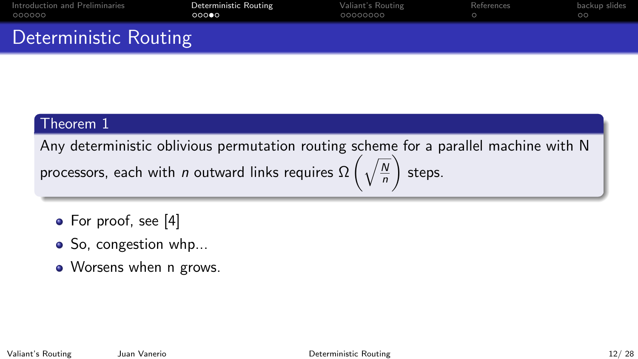| Introduction and Preliminaries | Deterministic Routing | Valiant's Routing | References | backup slides |
|--------------------------------|-----------------------|-------------------|------------|---------------|
| 000000                         | റററൈ                  | 00000000          |            | ററ            |
| Deterministic Routing          |                       |                   |            |               |

#### Theorem 1

Any deterministic oblivious permutation routing scheme for a parallel machine with N  $\setminus$ 

processors, each with *n* outward links requires  $\Omega\left(\sqrt{\frac{2}{\pi}}\right)$  $\overline{\mathsf{N}}$ n steps.

- For proof, see [\[4\]](#page-23-3)
- So, congestion whp...
- Worsens when n grows.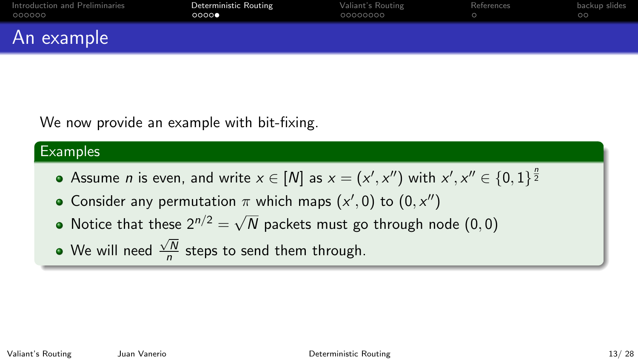| Introduction and Preliminaries | Deterministic Routing | Valiant's Routing | References | backup slides |
|--------------------------------|-----------------------|-------------------|------------|---------------|
| 000000                         | 0000                  | 00000000          |            | ററ            |
| An example                     |                       |                   |            |               |

We now provide an example with bit-fixing.

#### **Examples**

- Assume  $n$  is even, and write  $x\in [N]$  as  $x=(x',x'')$  with  $x',x''\in \{0,1\}^{\frac{n}{2}}$
- Consider any permutation  $\pi$  which maps  $(x', 0)$  to  $(0, x'')$
- Notice that these  $2^{n/2} = \sqrt{2}$  $N$  packets must go through node  $(0,0)$
- We will need  $\sqrt{N}$  $\frac{7N}{n}$  steps to send them through.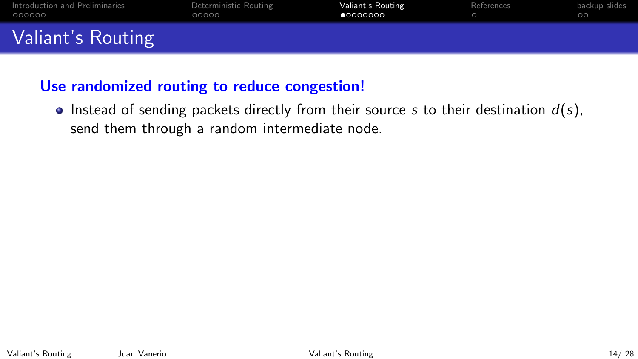<span id="page-13-0"></span>

| Introduction and Preliminaries | Deterministic Routing | Valiant's Routing | References | backup slides |
|--------------------------------|-----------------------|-------------------|------------|---------------|
| 000000                         | ററററ                  | •00000000         |            | $\circ$ c     |
| Valiant's Routing              |                       |                   |            |               |

## Use randomized routing to reduce congestion!

Instead of sending packets directly from their source s to their destination  $d(s)$ , send them through a random intermediate node.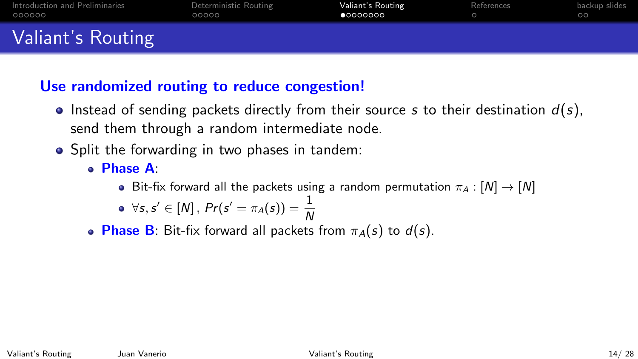| Introduction and Preliminaries | Deterministic Routing | Valiant's Routing | References | backup slides |
|--------------------------------|-----------------------|-------------------|------------|---------------|
| 000000                         | 00000                 | •00000000         |            | ററ            |
| Valiant's Routing              |                       |                   |            |               |

## Use randomized routing to reduce congestion!

- Instead of sending packets directly from their source s to their destination  $d(s)$ , send them through a random intermediate node.
- Split the forwarding in two phases in tandem:
	- Phase A:
		- Bit-fix forward all the packets using a random permutation  $\pi_A : [N] \to [N]$

$$
\bullet \ \ \forall s, s' \in [N], \ Pr(s' = \pi_A(s)) = \frac{1}{N}
$$

**Phase B**: Bit-fix forward all packets from  $\pi_A(s)$  to  $d(s)$ .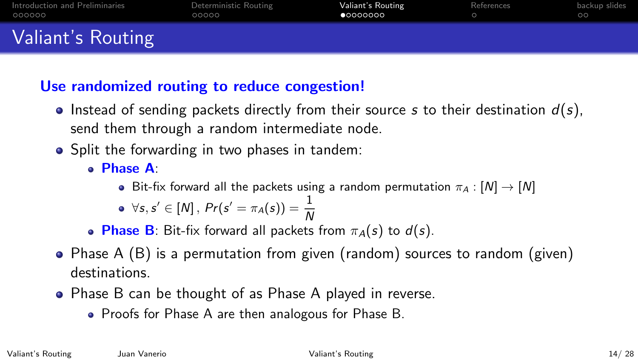| Introduction and Preliminaries | Deterministic Routing | Valiant's Routing | References | backup slides |
|--------------------------------|-----------------------|-------------------|------------|---------------|
| 000000                         | 00000                 | •00000000         |            | ററ            |
| Valiant's Routing              |                       |                   |            |               |

# Use randomized routing to reduce congestion!

- Instead of sending packets directly from their source s to their destination  $d(s)$ , send them through a random intermediate node.
- Split the forwarding in two phases in tandem:
	- Phase A:
		- Bit-fix forward all the packets using a random permutation  $\pi_A : [N] \to [N]$

$$
\bullet \ \ \forall s, s' \in [N], \ Pr(s' = \pi_A(s)) = \frac{1}{N}
$$

• Phase B: Bit-fix forward all packets from  $\pi_A(s)$  to  $d(s)$ .

- Phase A (B) is a permutation from given (random) sources to random (given) destinations.
- Phase B can be thought of as Phase A played in reverse.
	- Proofs for Phase A are then analogous for Phase B.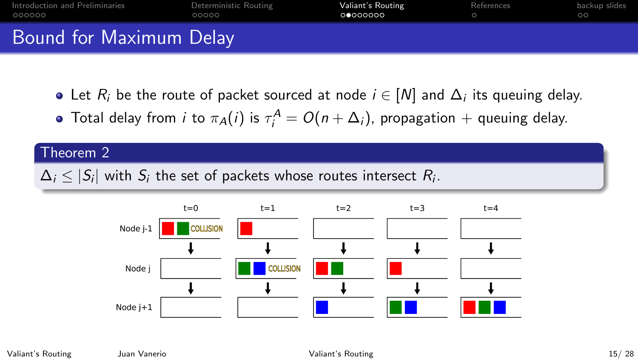| Introduction and Preliminaries<br>. 000000 | Deterministic Routing<br>00000 | Valiant's Routing<br>00000000 | References | backup slides |
|--------------------------------------------|--------------------------------|-------------------------------|------------|---------------|
| Bound for Maximum Delay                    |                                |                               |            |               |

- Let  $R_i$  be the route of packet sourced at node  $i \in [N]$  and  $\Delta_i$  its queuing delay.
- Total delay from  $i$  to  $\pi_{\mathcal{A}}(i)$  is  $\tau^{\mathcal{A}}_i = O(n + \Delta_i)$ , propagation  $+$  queuing delay.

## Theorem 2

 $\Delta_i \leq |\mathcal{S}_i|$  with  $\mathcal{S}_i$  the set of packets whose routes intersect  $R_i.$ 

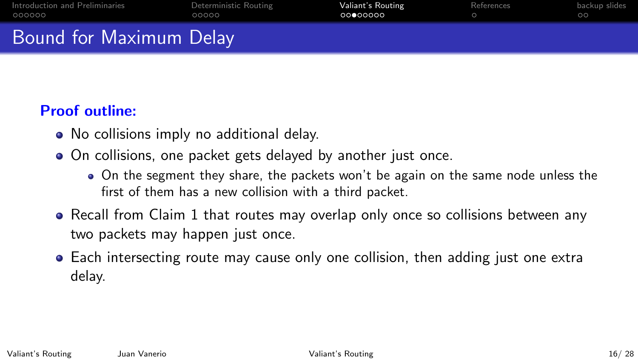| Introduction and Preliminaries<br>000000 | Deterministic Routing<br>00000 | Valiant's Routing<br>00000000 | References | backup slides |
|------------------------------------------|--------------------------------|-------------------------------|------------|---------------|
| Bound for Maximum Delay                  |                                |                               |            |               |

# Proof outline:

- No collisions imply no additional delay.
- On collisions, one packet gets delayed by another just once.
	- On the segment they share, the packets won't be again on the same node unless the first of them has a new collision with a third packet.
- Recall from Claim 1 that routes may overlap only once so collisions between any two packets may happen just once.
- Each intersecting route may cause only one collision, then adding just one extra delay.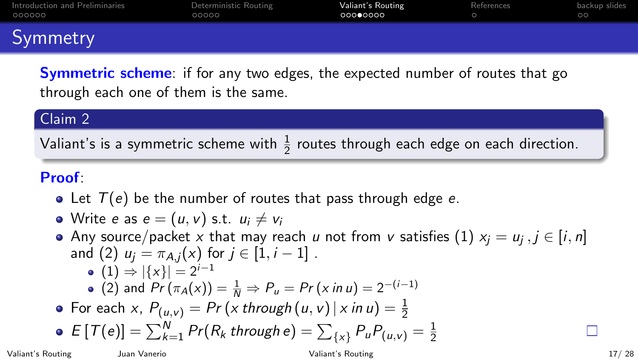| Introduction and Preliminaries<br>000000 | Deterministic Routing<br>00000 | Valiant's Routing<br>00000000 | References | backup slides |
|------------------------------------------|--------------------------------|-------------------------------|------------|---------------|
| Symmetry                                 |                                |                               |            |               |

**Symmetric scheme**: if for any two edges, the expected number of routes that go through each one of them is the same.

#### Claim 2

Valiant's is a symmetric scheme with  $\frac{1}{2}$  routes through each edge on each direction.

#### Proof:

• Let  $T(e)$  be the number of routes that pass through edge e.

• Write e as 
$$
e = (u, v)
$$
 s.t.  $u_i \neq v_i$ 

Any source/packet  $x$  that may reach  $u$  not from  $v$  satisfies  $(1)$   $x_j = u_j$  ,  $j \in [i,n]$ and (2)  $u_i = \pi_{A,i}(x)$  for  $j \in [1, i - 1]$ . •  $(1) \Rightarrow |\{x\}| = 2^{i-1}$ (2) and  $Pr(\pi_A(x)) = \frac{1}{N} \Rightarrow P_u = Pr(x \text{ in } u) = 2^{-(i-1)}$ For each  $x$ ,  $P_{(u,v)} = Pr(x$  through  $(u, v) | x$  in  $u) = \frac{1}{2}$  $E\left[{\mathcal T}(e)\right] = \sum_{k=1}^N Pr(R_k\text{ through }e) = \sum_{\{x\}} P_u P_{(u,v)} = \frac{1}{2}$  $\mathsf{L}$ 2

Valiant's Routing Juan Vanerio [Valiant's Routing](#page-13-0) 17/ 28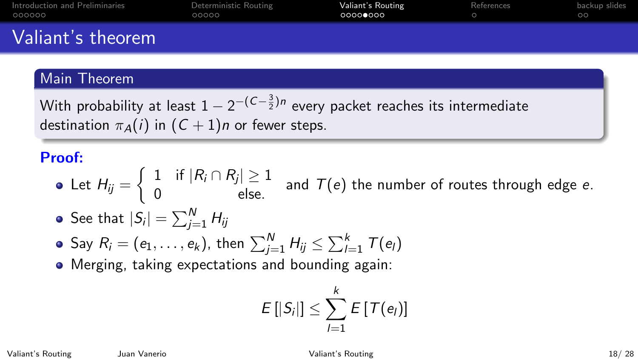| Introduction and Preliminaries | Deterministic Routing | Valiant's Routing | References | backup slides |
|--------------------------------|-----------------------|-------------------|------------|---------------|
| 000000                         | 00000                 | - ∩∩∩∩●∩∩∩        |            | ററ            |
| Valiant's theorem              |                       |                   |            |               |

#### Main Theorem

With probability at least  $1-2^{-\left({C}-\frac{3}{2}\right){n}}$  every packet reaches its intermediate destination  $\pi_A(i)$  in  $(C+1)n$  or fewer steps.

## Proof:

- Let  $H_{ij} = \left\{ \begin{array}{ll} 1 & \textrm{if} \; |R_i \cap R_j| \geq 1 \ 0 & \textrm{else.} \end{array} \right. \; \textrm{and} \; \; T(e) \; \textrm{the number of routes through edge } e.$
- See that  $| \mathcal{S}_i | = \sum_{j=1}^N H_{ij}$
- Say  $R_i=(e_1,\ldots,e_k)$ , then  $\sum_{j=1}^N H_{ij} \leq \sum_{l=1}^k \, \mathcal{T}(e_l)$
- Merging, taking expectations and bounding again:

$$
E\left[|S_i|\right]\leq \sum_{l=1}^k E\left[\mathcal{T}(e_l)\right]
$$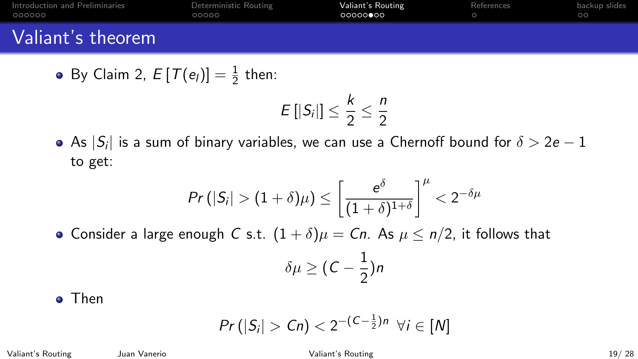| Introduction and Preliminaries | Deterministic Routing | Valiant's Routing | References | backup slides |
|--------------------------------|-----------------------|-------------------|------------|---------------|
| 000000                         | 00000                 | 00000000          |            | ററ            |
| Valiant's theorem              |                       |                   |            |               |

• By Claim 2, 
$$
E[T(e_i)] = \frac{1}{2}
$$
 then:

$$
E\left[|S_i|\right]\leq \frac{k}{2}\leq \frac{n}{2}
$$

As  $| \mathcal{S}_i |$  is a sum of binary variables, we can use a Chernoff bound for  $\delta > 2e-1$ to get:

$$
Pr\left(|S_i| > (1+\delta)\mu\right) \leq \left[\frac{e^{\delta}}{(1+\delta)^{1+\delta}}\right]^{\mu} < 2^{-\delta\mu}
$$

• Consider a large enough C s.t.  $(1 + \delta)\mu = Cn$ . As  $\mu \le n/2$ , it follows that

$$
\delta\mu\geq (C-\frac{1}{2})n
$$

**o** Then

$$
Pr(|S_i| > Cn) < 2^{-(C-\frac{1}{2})n} \ \forall i \in [N]
$$

Valiant's Routing Juan Vanerio [Valiant's Routing](#page-13-0) 19/ 28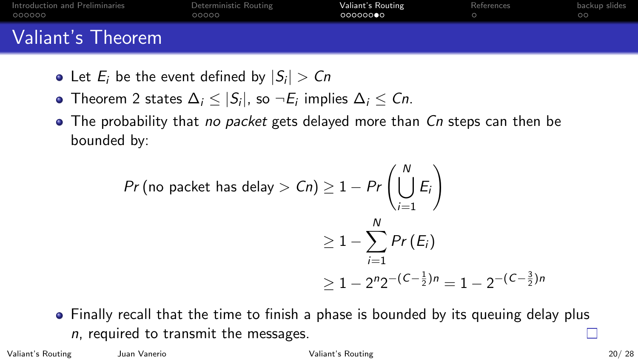| Introduction and Preliminaries | Deterministic Routing | Valiant's Routing | References | backup slides |
|--------------------------------|-----------------------|-------------------|------------|---------------|
| 000000                         | 00000                 | െറെറ <b>െ</b> െ   |            | ററ            |
| Valiant's Theorem              |                       |                   |            |               |

- Let  $E_i$  be the event defined by  $|S_i| > Cn$
- Theorem 2 states  $\Delta_i \leq |S_i|$ , so  $\neg E_i$  implies  $\Delta_i \leq Cn$ .
- $\bullet$  The probability that *no packet* gets delayed more than  $\emph{Cn}$  steps can then be bounded by:

$$
Pr(\text{no packet has delay} > Cn) \ge 1 - Pr\left(\bigcup_{i=1}^{N} E_i\right)
$$
\n
$$
\ge 1 - \sum_{i=1}^{N} Pr(E_i)
$$
\n
$$
\ge 1 - 2^n 2^{-\left(C - \frac{1}{2}\right)n} = 1 - 2^{-\left(C - \frac{3}{2}\right)n}
$$

Finally recall that the time to finish a phase is bounded by its queuing delay plus  $n$ , required to transmit the messages.

Valiant's Routing Juan Vanerio [Valiant's Routing](#page-13-0) 20/ 28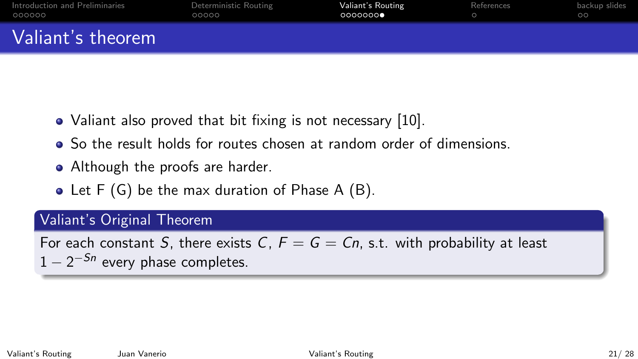| Introduction and Preliminaries | Deterministic Routing | Valiant's Routing | References | backup slides |
|--------------------------------|-----------------------|-------------------|------------|---------------|
| 000000                         | 00000                 | 0000000           |            | ററ            |
| Valiant's theorem              |                       |                   |            |               |

- Valiant also proved that bit fixing is not necessary [\[10\]](#page-25-1).
- So the result holds for routes chosen at random order of dimensions.
- Although the proofs are harder.
- Let F (G) be the max duration of Phase A (B).

#### Valiant's Original Theorem

For each constant S, there exists C,  $F = G = Cn$ , s.t. with probability at least  $1-2^{-Sn}$  every phase completes.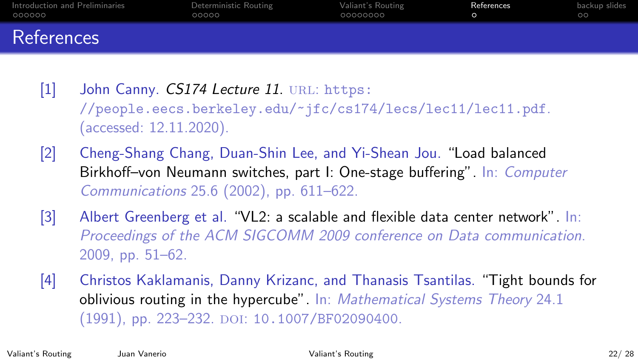<span id="page-23-0"></span>

| Introduction and Preliminaries | Deterministic Routing | Valiant's Routing | References | backup slides |
|--------------------------------|-----------------------|-------------------|------------|---------------|
| 000000                         | 00000                 | 00000000          |            | ററ            |
| References                     |                       |                   |            |               |

[1] John Canny. CS174 Lecture 11. URL: [https:](https://people.eecs.berkeley.edu/~jfc/cs174/lecs/lec11/lec11.pdf) [//people.eecs.berkeley.edu/~jfc/cs174/lecs/lec11/lec11.pdf](https://people.eecs.berkeley.edu/~jfc/cs174/lecs/lec11/lec11.pdf). (accessed: 12.11.2020).

- <span id="page-23-2"></span>[2] Cheng-Shang Chang, Duan-Shin Lee, and Yi-Shean Jou. "Load balanced Birkhoff–von Neumann switches, part I: One-stage buffering". In: Computer Communications 25.6 (2002), pp. 611–622.
- <span id="page-23-1"></span>[3] Albert Greenberg et al. "VL2: a scalable and flexible data center network". In: Proceedings of the ACM SIGCOMM 2009 conference on Data communication. 2009, pp. 51–62.
- <span id="page-23-3"></span>[4] Christos Kaklamanis, Danny Krizanc, and Thanasis Tsantilas. "Tight bounds for oblivious routing in the hypercube". In: Mathematical Systems Theory 24.1 (1991), pp. 223-232. DOI: [10.1007/BF02090400](https://doi.org/10.1007/BF02090400).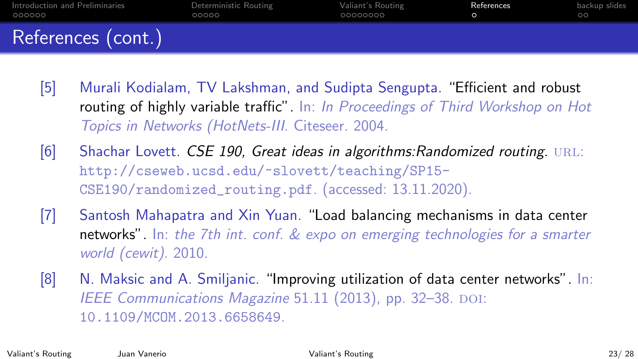| Introduction and Preliminaries | Deterministic Routing | Valiant's Routing | References | backup slides |
|--------------------------------|-----------------------|-------------------|------------|---------------|
| 000000                         | 00000                 | 00000000          |            | ററ            |
| References (cont.)             |                       |                   |            |               |

- <span id="page-24-1"></span>[5] Murali Kodialam, TV Lakshman, and Sudipta Sengupta. "Efficient and robust routing of highly variable traffic". In: In Proceedings of Third Workshop on Hot Topics in Networks (HotNets-III. Citeseer. 2004.
- [6] Shachar Lovett. CSE 190, Great ideas in algorithms: Randomized routing. URL: [http://cseweb.ucsd.edu/~slovett/teaching/SP15-](http://cseweb.ucsd.edu/~slovett/teaching/SP15-CSE190/randomized_routing.pdf) [CSE190/randomized\\_routing.pdf](http://cseweb.ucsd.edu/~slovett/teaching/SP15-CSE190/randomized_routing.pdf). (accessed: 13.11.2020).
- <span id="page-24-2"></span>[7] Santosh Mahapatra and Xin Yuan. "Load balancing mechanisms in data center networks". In: the 7th int. conf. & expo on emerging technologies for a smarter world (cewit). 2010.
- <span id="page-24-0"></span>[8] N. Maksic and A. Smiljanic. "Improving utilization of data center networks". In: IEEE Communications Magazine 51.11 (2013), pp. 32-38. DOI: [10.1109/MCOM.2013.6658649](https://doi.org/10.1109/MCOM.2013.6658649).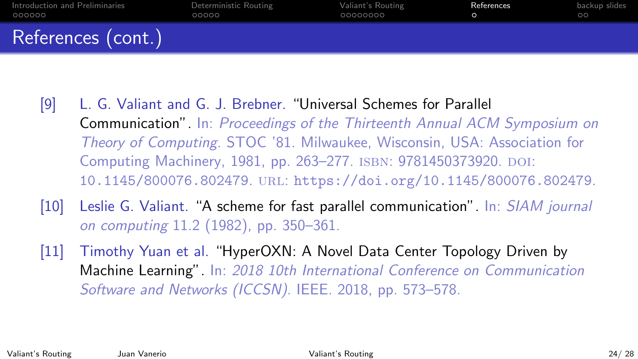| Introduction and Preliminaries | Deterministic Routing | Valiant's Routing | References | backup slides |
|--------------------------------|-----------------------|-------------------|------------|---------------|
| 000000                         | 00000                 | .00000000         |            | ററ            |
| References (cont.)             |                       |                   |            |               |

- [9] L. G. Valiant and G. J. Brebner. "Universal Schemes for Parallel Communication". In: Proceedings of the Thirteenth Annual ACM Symposium on Theory of Computing. STOC '81. Milwaukee, Wisconsin, USA: Association for Computing Machinery, 1981, pp. 263–277. ISBN: 9781450373920. DOI: [10.1145/800076.802479](https://doi.org/10.1145/800076.802479). url: <https://doi.org/10.1145/800076.802479>.
- <span id="page-25-1"></span>[10] Leslie G. Valiant. "A scheme for fast parallel communication". In: SIAM journal on computing 11.2 (1982), pp. 350–361.
- <span id="page-25-0"></span>[11] Timothy Yuan et al. "HyperOXN: A Novel Data Center Topology Driven by Machine Learning". In: 2018 10th International Conference on Communication Software and Networks (ICCSN). IEEE. 2018, pp. 573–578.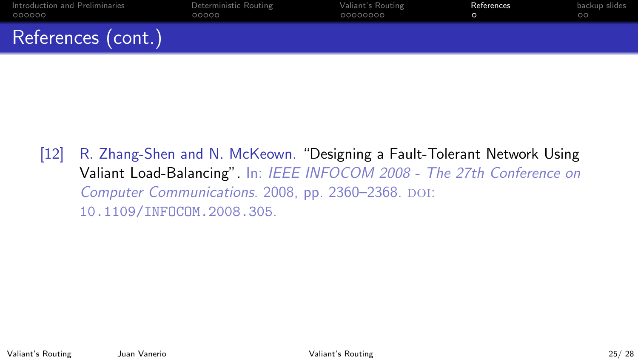| Introduction and Preliminaries | Deterministic Routing | Valiant's Routing | References | backup slides |
|--------------------------------|-----------------------|-------------------|------------|---------------|
| 000000                         | ററററ                  | 00000000          |            | ററ            |
| References (cont.)             |                       |                   |            |               |

<span id="page-26-0"></span>[12] R. Zhang-Shen and N. McKeown. "Designing a Fault-Tolerant Network Using Valiant Load-Balancing". In: IEEE INFOCOM 2008 - The 27th Conference on Computer Communications. 2008, pp. 2360-2368. DOI: [10.1109/INFOCOM.2008.305](https://doi.org/10.1109/INFOCOM.2008.305).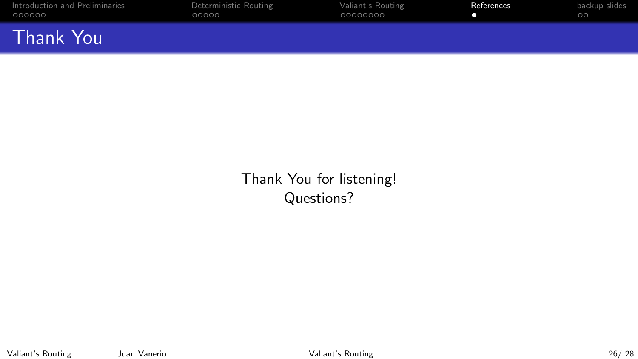| Introduction and Preliminaries<br>000000 | Deterministic Routing<br>00000 | Valiant's Routing<br>00000000 | References | backup slides |
|------------------------------------------|--------------------------------|-------------------------------|------------|---------------|
| <b>Thank You</b>                         |                                |                               |            |               |

Thank You for listening! Questions?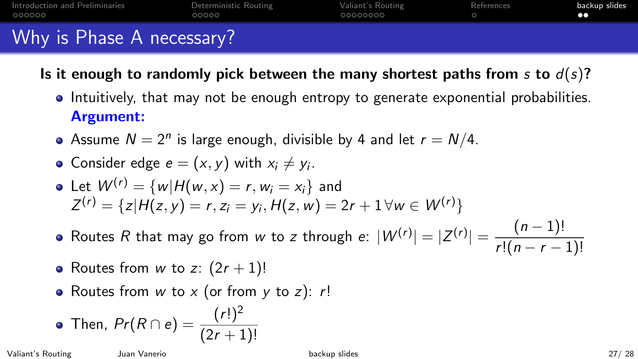<span id="page-28-0"></span>

| Introduction and Preliminaries<br>OOOOOO | Deterministic Routing<br>ററററ | Valiant's Routing<br>00000000 | References | backup slides |
|------------------------------------------|-------------------------------|-------------------------------|------------|---------------|
| Why is Phase A necessary?                |                               |                               |            |               |

- Is it enough to randomly pick between the many shortest paths from s to  $d(s)$ ?
	- Intuitively, that may not be enough entropy to generate exponential probabilities. Argument:
	- Assume  $N = 2^n$  is large enough, divisible by 4 and let  $r = N/4$ .

• Consider edge 
$$
e = (x, y)
$$
 with  $x_i \neq y_i$ .

• Let 
$$
W^{(r)} = \{w | H(w, x) = r, w_i = x_i\}
$$
 and  
\n $Z^{(r)} = \{z | H(z, y) = r, z_i = y_i, H(z, w) = 2r + 1 \forall w \in W^{(r)}\}$ 

- Routes R that may go from w to z through  $e: |W^{(r)}| = |Z^{(r)}| = \frac{(n-1)!}{\sqrt{2\pi}}$  $r!(n-r-1)!$
- Routes from w to z:  $(2r + 1)!$
- Routes from  $w$  to  $x$  (or from  $y$  to  $z$ ):  $r!$

• Then, 
$$
Pr(R \cap e) = \frac{(r!)^2}{(2r+1)!}
$$

Valiant's Routing Juan Vanerio [backup slides](#page-28-0) 27/ 28